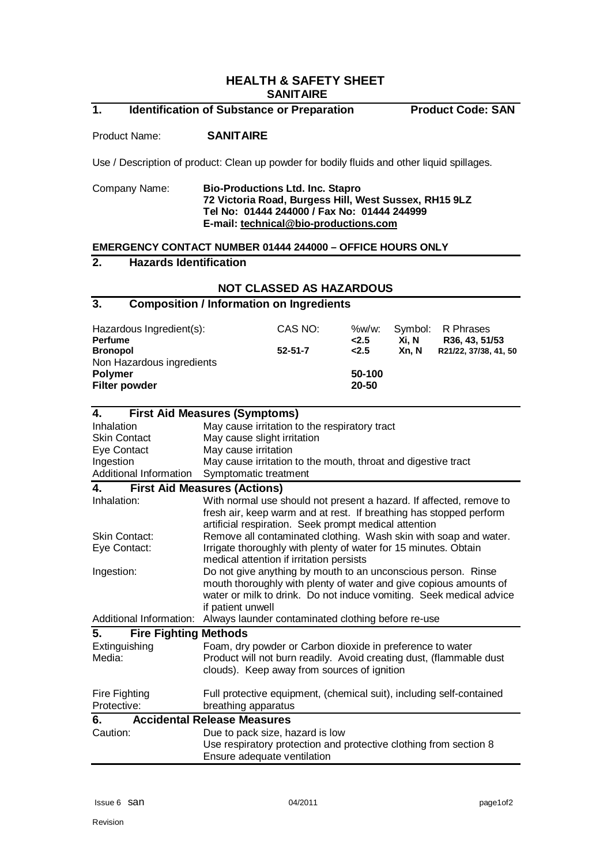## **HEALTH & SAFETY SHEET SANITAIRE**

# **1. Identification of Substance or Preparation****Product Code: SAN**

#### Product Name: **SANITAIRE**

Use / Description of product: Clean up powder for bodily fluids and other liquid spillages.

#### Company Name: **Bio-Productions Ltd. Inc. Stapro 72 Victoria Road, Burgess Hill, West Sussex, RH15 9LZ Tel No: 01444 244000 / Fax No: 01444 244999 E-mail: [technical@bio-productions.com](mailto:technical@bio-productions.com)**

#### **EMERGENCY CONTACT NUMBER 01444 244000 – OFFICE HOURS ONLY**

## **2. Hazards Identification**

#### **NOT CLASSED AS HAZARDOUS**

#### **3. Composition / Information on Ingredients**

| Hazardous Ingredient(s):<br><b>Perfume</b>   | CAS NO:       | %w/w:<br>2.5 | Xi. N | Symbol: R Phrases<br>R36, 43, 51/53 |
|----------------------------------------------|---------------|--------------|-------|-------------------------------------|
| <b>Bronopol</b><br>Non Hazardous ingredients | $52 - 51 - 7$ | 2.5          | Xn. N | R21/22, 37/38, 41, 50               |
| <b>Polymer</b>                               |               | 50-100       |       |                                     |
| <b>Filter powder</b>                         |               | 20-50        |       |                                     |

| <b>First Aid Measures (Symptoms)</b><br>4. |                                                                                                                                                                                                                                |  |  |
|--------------------------------------------|--------------------------------------------------------------------------------------------------------------------------------------------------------------------------------------------------------------------------------|--|--|
| Inhalation                                 | May cause irritation to the respiratory tract                                                                                                                                                                                  |  |  |
| <b>Skin Contact</b>                        | May cause slight irritation                                                                                                                                                                                                    |  |  |
| Eye Contact                                | May cause irritation                                                                                                                                                                                                           |  |  |
| Ingestion                                  | May cause irritation to the mouth, throat and digestive tract                                                                                                                                                                  |  |  |
| Additional Information                     | Symptomatic treatment                                                                                                                                                                                                          |  |  |
| 4.                                         | <b>First Aid Measures (Actions)</b>                                                                                                                                                                                            |  |  |
| Inhalation:                                | With normal use should not present a hazard. If affected, remove to<br>fresh air, keep warm and at rest. If breathing has stopped perform<br>artificial respiration. Seek prompt medical attention                             |  |  |
| <b>Skin Contact:</b>                       | Remove all contaminated clothing. Wash skin with soap and water.                                                                                                                                                               |  |  |
| Eye Contact:                               | Irrigate thoroughly with plenty of water for 15 minutes. Obtain<br>medical attention if irritation persists                                                                                                                    |  |  |
| Ingestion:                                 | Do not give anything by mouth to an unconscious person. Rinse<br>mouth thoroughly with plenty of water and give copious amounts of<br>water or milk to drink. Do not induce vomiting. Seek medical advice<br>if patient unwell |  |  |
| Additional Information:                    | Always launder contaminated clothing before re-use                                                                                                                                                                             |  |  |
| 5.<br><b>Fire Fighting Methods</b>         |                                                                                                                                                                                                                                |  |  |
| Extinguishing<br>Media:                    | Foam, dry powder or Carbon dioxide in preference to water<br>Product will not burn readily. Avoid creating dust, (flammable dust<br>clouds). Keep away from sources of ignition                                                |  |  |
| Fire Fighting<br>Protective:               | Full protective equipment, (chemical suit), including self-contained<br>breathing apparatus                                                                                                                                    |  |  |
| <b>Accidental Release Measures</b><br>6.   |                                                                                                                                                                                                                                |  |  |
| Caution:                                   | Due to pack size, hazard is low<br>Use respiratory protection and protective clothing from section 8<br>Ensure adequate ventilation                                                                                            |  |  |
|                                            |                                                                                                                                                                                                                                |  |  |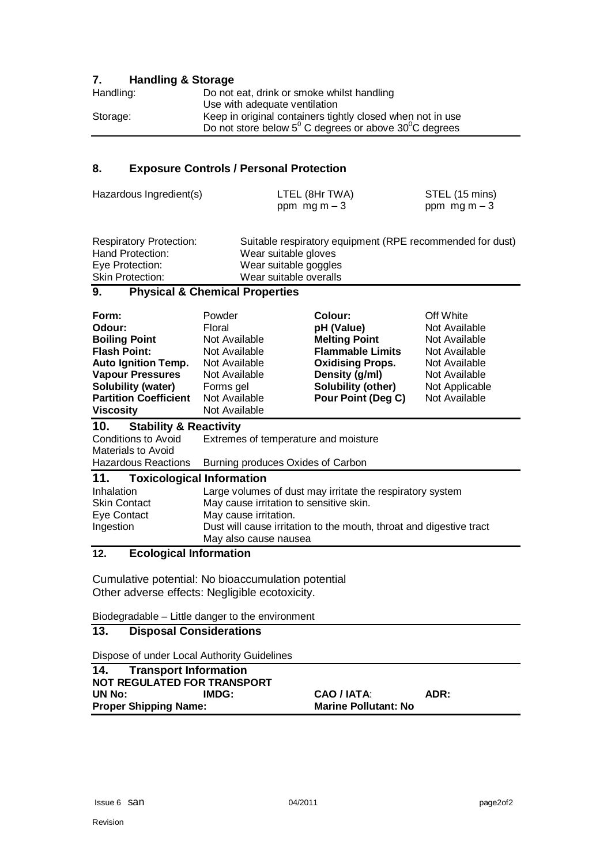## **7. Handling & Storage**

| Handling: | Do not eat, drink or smoke whilst handling                               |
|-----------|--------------------------------------------------------------------------|
|           | Use with adequate ventilation                                            |
| Storage:  | Keep in original containers tightly closed when not in use               |
|           | Do not store below $5^{\circ}$ C degrees or above $30^{\circ}$ C degrees |

# **8. Exposure Controls / Personal Protection**

| Hazardous Ingredient(s) | LTEL (8Hr TWA) | STEL (15 mins) |
|-------------------------|----------------|----------------|
|                         | ppm $mgm - 3$  | ppm $mgm - 3$  |

| <b>Respiratory Protection:</b> | Suitable respiratory equipment (RPE recommended for dust) |
|--------------------------------|-----------------------------------------------------------|
| Hand Protection:               | Wear suitable gloves                                      |
| Eye Protection:                | Wear suitable goggles                                     |
| <b>Skin Protection:</b>        | Wear suitable overalls                                    |

# **9. Physical & Chemical Properties**

| Form:<br>Odour:<br><b>Boiling Point</b><br><b>Flash Point:</b><br><b>Auto Ignition Temp.</b><br><b>Vapour Pressures</b><br>Solubility (water)<br><b>Partition Coefficient</b><br><b>Viscosity</b> | Powder<br>Floral<br>Not Available<br>Not Available<br>Not Available<br>Not Available<br>Forms gel<br>Not Available<br>Not Available | <b>Colour:</b><br>pH (Value)<br><b>Melting Point</b><br><b>Flammable Limits</b><br><b>Oxidising Props.</b><br>Density (g/ml)<br>Solubility (other)<br><b>Pour Point (Deg C)</b> | Off White<br>Not Available<br>Not Available<br>Not Available<br>Not Available<br>Not Available<br>Not Applicable<br>Not Available |
|---------------------------------------------------------------------------------------------------------------------------------------------------------------------------------------------------|-------------------------------------------------------------------------------------------------------------------------------------|---------------------------------------------------------------------------------------------------------------------------------------------------------------------------------|-----------------------------------------------------------------------------------------------------------------------------------|
| <b>Stability &amp; Reactivity</b><br>10.                                                                                                                                                          |                                                                                                                                     |                                                                                                                                                                                 |                                                                                                                                   |
| <b>Conditions to Avoid</b><br>Materials to Avoid                                                                                                                                                  | Extremes of temperature and moisture                                                                                                |                                                                                                                                                                                 |                                                                                                                                   |
| <b>Hazardous Reactions</b>                                                                                                                                                                        | Burning produces Oxides of Carbon                                                                                                   |                                                                                                                                                                                 |                                                                                                                                   |
| <b>Toxicological Information</b><br>11.                                                                                                                                                           |                                                                                                                                     |                                                                                                                                                                                 |                                                                                                                                   |
| Inhalation                                                                                                                                                                                        | Large volumes of dust may irritate the respiratory system                                                                           |                                                                                                                                                                                 |                                                                                                                                   |
| <b>Skin Contact</b>                                                                                                                                                                               | May cause irritation to sensitive skin.                                                                                             |                                                                                                                                                                                 |                                                                                                                                   |
| Eye Contact                                                                                                                                                                                       | May cause irritation.                                                                                                               |                                                                                                                                                                                 |                                                                                                                                   |
| Ingestion                                                                                                                                                                                         | Dust will cause irritation to the mouth, throat and digestive tract                                                                 |                                                                                                                                                                                 |                                                                                                                                   |
|                                                                                                                                                                                                   | May also cause nausea                                                                                                               |                                                                                                                                                                                 |                                                                                                                                   |

#### **12. Ecological Information**

Cumulative potential: No bioaccumulation potential Other adverse effects: Negligible ecotoxicity.

Biodegradable – Little danger to the environment

# **13. Disposal Considerations**

Dispose of under Local Authority Guidelines

| 14.                                | <b>Transport Information</b> |                             |      |
|------------------------------------|------------------------------|-----------------------------|------|
| <b>NOT REGULATED FOR TRANSPORT</b> |                              |                             |      |
| UN No:                             | IMDG:                        | CAO / IATA:                 | ADR: |
|                                    | <b>Proper Shipping Name:</b> | <b>Marine Pollutant: No</b> |      |